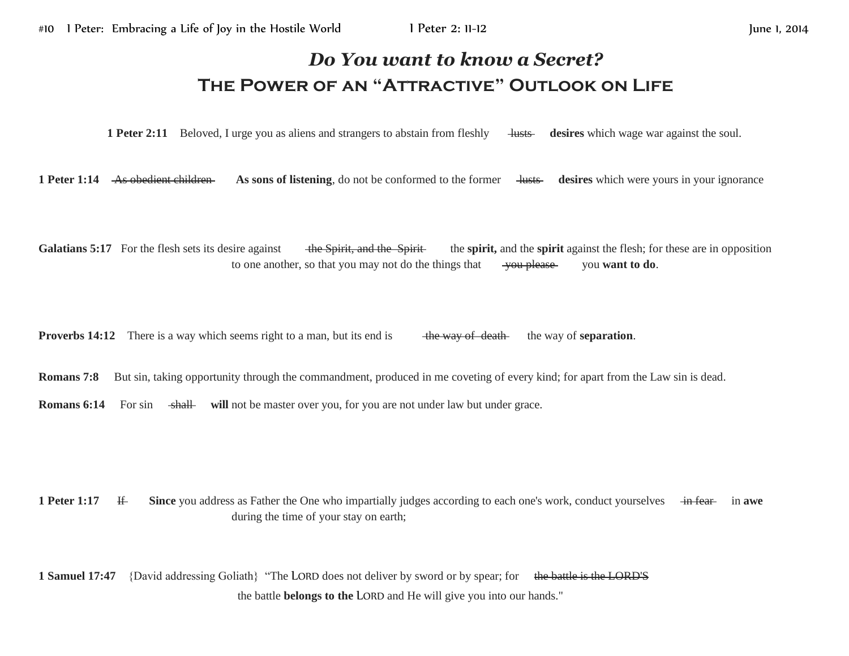## *Do You want to know a Secret?* **The Power of an "Attractive" Outlook on Life**

**1 Peter 2:11** Beloved, I urge you as aliens and strangers to abstain from fleshly lusts desires which wage war against the soul.

**1 Peter 1:14** As obedient children As sons of listening, do not be conformed to the former lusts desires which were yours in your ignorance

Galatians 5:17 For the flesh sets its desire against the Spirit, and the Spirit interval the spirit against the flesh; for these are in opposition to one another, so that you may not do the things that you please you want to do.

**Proverbs 14:12** There is a way which seems right to a man, but its end is the way of death the way of **separation**.

**Romans 7:8** But sin, taking opportunity through the commandment, produced in me coveting of every kind; for apart from the Law sin is dead.

**Romans 6:14** For sin <del>shall</del> will not be master over you, for you are not under law but under grace.

**1 Peter 1:17** If Since you address as Father the One who impartially judges according to each one's work, conduct yourselves in fear in **awe** during the time of your stay on earth;

**1 Samuel 17:47** {David addressing Goliath} "The LORD does not deliver by sword or by spear; for the battle is the LORD'S the battle **belongs to the** LORD and He will give you into our hands."